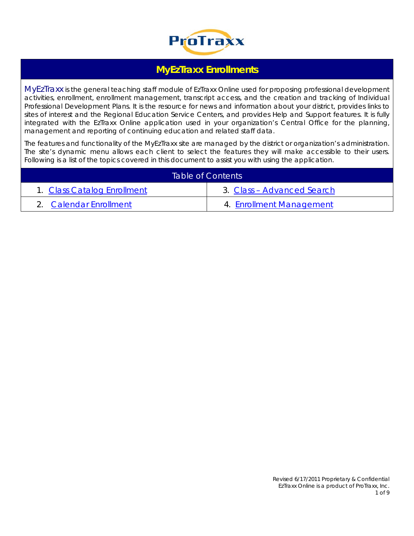

# **MyEzTraxx Enrollments**

MyEzTraxx is the general teaching staff module of EzTraxx Online used for proposing professional development activities, enrollment, enrollment management, transcript access, and the creation and tracking of Individual Professional Development Plans. It is the resource for news and information about your district, provides links to sites of interest and the Regional Education Service Centers, and provides Help and Support features. It is fully integrated with the EzTraxx Online application used in your organization's Central Office for the planning, management and reporting of continuing education and related staff data.

The features and functionality of the MyEzTraxx site are managed by the district or organization's administration. The site's dynamic menu allows each client to select the features they will make accessible to their users. Following is a list of the topics covered in this document to assist you with using the application.

|                             | Table of Contents          |
|-----------------------------|----------------------------|
| 1. Class Catalog Enrollment | 3. Class - Advanced Search |
| 2. Calendar Enrollment      | 4. Enrollment Management   |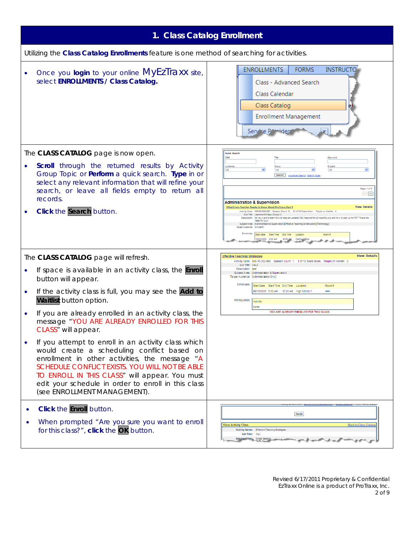<span id="page-1-0"></span>

|                                                                                                                                                                                                                                                                                                                                                              | 1. Class Catalog Enrollment                                                                                                                                                                                                                                                                                                                                                                                                                                                                                                                                                                                                                                                                                                                            |
|--------------------------------------------------------------------------------------------------------------------------------------------------------------------------------------------------------------------------------------------------------------------------------------------------------------------------------------------------------------|--------------------------------------------------------------------------------------------------------------------------------------------------------------------------------------------------------------------------------------------------------------------------------------------------------------------------------------------------------------------------------------------------------------------------------------------------------------------------------------------------------------------------------------------------------------------------------------------------------------------------------------------------------------------------------------------------------------------------------------------------------|
| Utilizing the Class Catalog Enrollments feature is one method of searching for activities.                                                                                                                                                                                                                                                                   |                                                                                                                                                                                                                                                                                                                                                                                                                                                                                                                                                                                                                                                                                                                                                        |
| Once you login to your online MyEzTraxx site,<br>$\bullet$<br>select ENROLLMENTS / Class Catalog.                                                                                                                                                                                                                                                            | <b>ENROLLMENTS</b><br><b>FORMS</b><br><b>INSTRUCTO</b><br>Class - Advanced Search<br>Class Calendar<br>Class Catalog<br><b>Enrollment Management</b><br>Service Powider                                                                                                                                                                                                                                                                                                                                                                                                                                                                                                                                                                                |
| The CLASS CATALOG page is now open.<br><b>Scroll</b> through the returned results by Activity<br>Group Topic or Perform a quick search. Type in or<br>select any relevant information that will refine your<br>search, or leave all fields empty to return all<br>records.<br>Click the Search button.<br>۰                                                  | Quick Search<br>Date<br>Audience<br>Subjec<br>AI<br><b>Search</b><br>Advanced Search Search Goals<br>Page: 1 of 2<br>$\ll$ [35]<br><b>Administration &amp; Supervision</b><br><b>View Details</b><br>What Every Teacher Needs to Know About ProTraxx Part 1<br>Activity Code: 999-08-302-005 Session Count: 2 10 of 10 Seats taken.<br>Sub Title: Learning ExTraxx (Group 2)<br>Description: Do you want to learn how to keep an updated CEU trascript for all reporting out and<br>class for you!<br>Subject Area: [Administration & Supervision] [Effective Teaching & Instruction] [Technology<br>Target Audience: [All Staff]<br>Schedules:<br>Start Date Start Time End Time<br>Room #<br>Location<br>2/01/2008 9:00 AM<br>12:00<br>Central Offic |
| The CLASS CATALOG page will refresh.                                                                                                                                                                                                                                                                                                                         | <b>View Details</b><br><b>Effective Teaching Strategies</b><br>Activity Code: 999-10-302-002 Session Count: 1 1 of 10 Seats taken. People on Waitlist: 0                                                                                                                                                                                                                                                                                                                                                                                                                                                                                                                                                                                               |
| If space is available in an activity class, the <b>Enroll</b><br>$\bullet$<br>button will appear.                                                                                                                                                                                                                                                            | Sub Title: CALI<br>Description: test<br>Subject Area: [Administration & Supervision]<br>Target Audience: [Administrators Only]<br>Schedules:<br>Start Date Start Time End Time Location<br>Room #                                                                                                                                                                                                                                                                                                                                                                                                                                                                                                                                                      |
| If the activity class is full, you may see the Add to<br>$\bullet$<br>Waitlist button option.                                                                                                                                                                                                                                                                | 06/19/2009 9:00 AM 12:00 AM High School 1<br>444<br>Prerequisites:<br>Activity                                                                                                                                                                                                                                                                                                                                                                                                                                                                                                                                                                                                                                                                         |
| If you are already enrolled in an activity class, the<br>$\bullet$<br>message "YOU ARE ALREADY ENROLLED FOR THIS<br>CLASS" will appear.                                                                                                                                                                                                                      | None<br>YOU ARE ALREADY ENROLLED FOR THIS CLASS                                                                                                                                                                                                                                                                                                                                                                                                                                                                                                                                                                                                                                                                                                        |
| If you attempt to enroll in an activity class which<br>$\bullet$<br>would create a scheduling conflict based on<br>enrollment in other activities, the message "A<br>SCHEDULE CONFLICT EXISTS. YOU WILL NOT BE ABLE<br>TO ENROLL IN THIS CLASS" will appear. You must<br>edit your schedule in order to enroll in this class<br>(see ENROLLMENT MANAGEMENT). |                                                                                                                                                                                                                                                                                                                                                                                                                                                                                                                                                                                                                                                                                                                                                        |
| <b>Click the Enroll button.</b><br>When prompted "Are you sure you want to enroll<br>for this class?", click the OK button.                                                                                                                                                                                                                                  | Enroll<br><b>Back to Class Catalo</b><br><b>View Activity Class</b><br>Activity Name: Effective Teaching Strategie<br>Sub Title: CALI                                                                                                                                                                                                                                                                                                                                                                                                                                                                                                                                                                                                                  |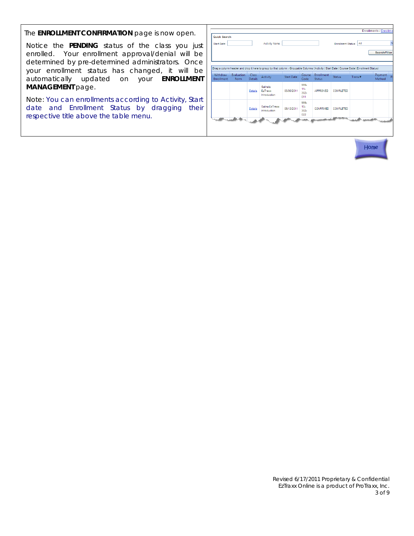The **ENROLLMENT CONFIRMATION** page is now open.

Notice the **PENDING** status of the class you just enrolled. Your enrollment approval/denial will be determined by pre-determined administrators. Once your enrollment status has changed, it will be automatically updated on your **ENROLLMENT MANAGEMENT** page.

Note: You can enrollments according to Activity, Start date and Enrollment Status by dragging their respective title above the table menu.

| Start Date:            |                    |                          | Activity Name:                                                                                                                                          |                   |                                  |                                    | <b>Enrollment Status:</b> | All    |                   |   |
|------------------------|--------------------|--------------------------|---------------------------------------------------------------------------------------------------------------------------------------------------------|-------------------|----------------------------------|------------------------------------|---------------------------|--------|-------------------|---|
|                        |                    |                          |                                                                                                                                                         |                   |                                  |                                    |                           |        | Search/Filter     |   |
| Withdraw<br>Enrollment | Evaluation<br>Form | Class:<br><b>Details</b> | Drag a column header and drop it here to group by that column - Groupable Columns (Activity   Start Date   Course Code   Enrollment Status)<br>Activity | <b>Start Date</b> | Course<br>Code                   | <b>Enrollment</b><br><b>Status</b> | <b>Status</b>             | Trans# | Payment<br>Method | p |
|                        |                    | <b>Details</b>           | Salina's<br>EzTraxx<br>Introduction                                                                                                                     | 05/30/2011        | 999-<br>$11 -$<br>$302 -$<br>011 | APPROVED                           | <b>COMPLETED</b>          |        |                   |   |
|                        |                    | <b>Details</b>           | Salina EzTraxx<br>Introduction                                                                                                                          | 05/13/2011        | 999-<br>$10 -$<br>$302 -$<br>022 | CONFIRMED                          | <b>COMPLETED</b>          |        |                   |   |

Home

Revised 6/17/2011 Proprietary & Confidential EzTraxx Online is a product of ProTraxx, Inc. 3 of 9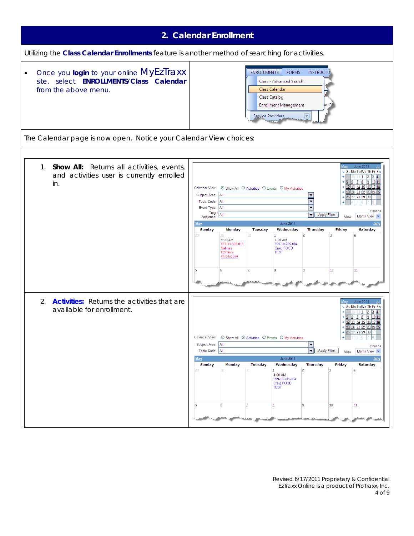<span id="page-3-0"></span>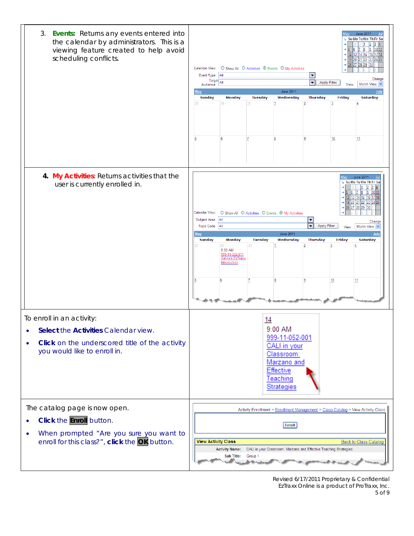| 3. Events: Returns any events entered into<br>the calendar by administrators. This is a<br>viewing feature created to help avoid<br>scheduling conflicts.                              | June 2011<br>Su Mo Tu We Th Fr Sa<br>11<br>$\frac{8}{2}$<br>19<br>1011<br><u>12 13 14 15 </u><br>16 17 18<br>20<br>$21$ $22$<br>28 29<br>○ Show All ○ Activities ● Events ○ My Activities<br>Calendar View:<br>Event Type: All<br>$\blacktriangledown$<br>Change<br>$T \text{arget}$ All<br>Apply Filter<br>$\blacktriangledown$<br>Month View $\sim$<br>View:<br>Audience:<br><b>June 2011</b><br>July<br>May<br><b>Monday</b><br><b>Tuesday</b><br>Wednesday<br>Friday<br><b>Saturday</b><br><b>Sunday</b><br><b>Thursday</b><br>29<br>30<br>31<br>2<br>3<br>$\overline{4}$<br>6<br>10<br>11<br>5<br>18 |
|----------------------------------------------------------------------------------------------------------------------------------------------------------------------------------------|-----------------------------------------------------------------------------------------------------------------------------------------------------------------------------------------------------------------------------------------------------------------------------------------------------------------------------------------------------------------------------------------------------------------------------------------------------------------------------------------------------------------------------------------------------------------------------------------------------------|
| 4. My Activities: Returns activities that the<br>user is currently enrolled in.                                                                                                        | <b>June 2011</b><br>Su Mo Tu We Th Fr Sa<br>Calendar View:<br>○ Show All ○ Activities ○ Events ● My Activities<br>Subject Area: All<br>$\frac{1}{1}$<br>Change<br><b>Apply Filter</b><br>Topic Code: All<br>Month View $\vee$<br>View:<br><b>June 2011</b><br><b>May</b><br>July<br><b>Tuesday</b><br>Wednesday<br><b>Thursday</b><br>Friday<br><b>Saturday</b><br>Sunday<br><b>Monday</b><br>31<br>$\overline{4}$<br>30<br>-1<br>$9:00$ AM<br>999-11-302-011<br>Salina's EzTraxx<br>Introduction<br>Z<br>9<br>10<br>11<br>6<br>8                                                                         |
| To enroll in an activity:<br>Select the Activities Calendar view.<br><b>Click</b> on the underscored title of the activity<br>you would like to enroll in.                             | 14<br>9:00 AM<br>999-11-052-001<br>CALI in your<br>Classroom:<br>Marzano and<br>Effective<br>Teaching<br>Strategies                                                                                                                                                                                                                                                                                                                                                                                                                                                                                       |
| The catalog page is now open.<br>Click the <b>Enroll</b> button.<br>$\bullet$<br>When prompted "Are you sure you want to<br>$\bullet$<br>enroll for this class?", click the OK button. | Activity Enrollment > Enrollment Management > Class Catalog > View Activity Class<br>Enroll<br><b>View Activity Class</b><br><b>Back to Class Catalog</b><br>CALI in your Classroom: Marzano and Effective Teaching Strategies<br><b>Activity Name:</b><br><b>Sub Title:</b><br>Group 1                                                                                                                                                                                                                                                                                                                   |

Revised 6/17/2011 Proprietary & Confidential EzTraxx Online is a product of ProTraxx, Inc. 5 of 9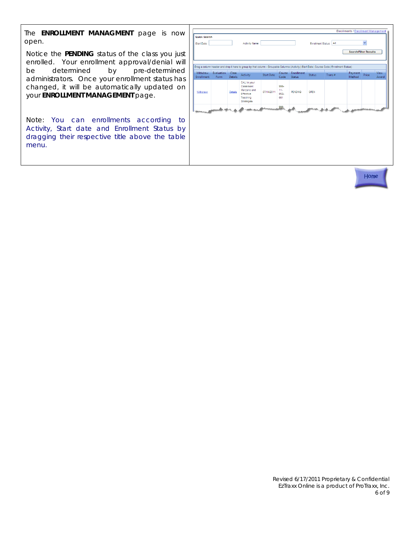The **ENROLLMENT MANAGMENT** page is now open.

Notice the **PENDING** status of the class you just enrolled. Your enrollment approval/denial will be determined by pre-determined administrators. Once your enrollment status has changed, it will be automatically updated on your **ENROLLMENT MANAGEMENT** page.

Note: You can enrollments according to Activity, Start date and Enrollment Status by dragging their respective title above the table menu.

|                                           |                           |                         |                                                                                                                                             |                   |                                  |                                    |                        |        | Enrollments / Enrollment Management |             |                      |
|-------------------------------------------|---------------------------|-------------------------|---------------------------------------------------------------------------------------------------------------------------------------------|-------------------|----------------------------------|------------------------------------|------------------------|--------|-------------------------------------|-------------|----------------------|
| <b>Quick Search</b><br><b>Start Date:</b> |                           |                         | Activity Name:                                                                                                                              |                   |                                  |                                    | Enrollment Status: All |        | <b>Search/Filter Results</b>        | $\ddotmark$ |                      |
|                                           |                           |                         | Drag a column header and drop it here to group by that column - Groupable Columns (Activity   Start Date   Course Code   Enrollment Status) |                   |                                  |                                    |                        |        |                                     |             |                      |
| <b>Withdraw</b><br>Enrollment             | <b>Evaluation</b><br>Form | Class<br><b>Details</b> | Activity                                                                                                                                    | <b>Start Date</b> | Course<br>Code                   | <b>Enrollment</b><br><b>Status</b> | <b>Status</b>          | Trans# | Payment<br>Method                   | Price       | <b>View</b><br>Award |
| Withdraw                                  |                           | <b>Details</b>          | CALI in your<br>Classroom:<br>Marzano and<br>Effective<br>Teaching<br>Strategies                                                            | 07/14/2011        | 999-<br>$11 -$<br>$052 -$<br>001 | <b>PENDING</b>                     | OPEN                   |        |                                     |             |                      |
| <b>Material Avenue</b>                    |                           |                         |                                                                                                                                             |                   | 999-                             |                                    |                        |        |                                     | للمعوضعة    |                      |
|                                           |                           |                         |                                                                                                                                             |                   |                                  |                                    |                        |        |                                     |             |                      |
|                                           |                           |                         |                                                                                                                                             |                   |                                  |                                    |                        |        |                                     |             |                      |
|                                           |                           |                         |                                                                                                                                             |                   |                                  |                                    |                        |        |                                     |             |                      |
|                                           |                           |                         |                                                                                                                                             |                   |                                  |                                    |                        |        |                                     |             |                      |
|                                           |                           |                         |                                                                                                                                             |                   |                                  |                                    |                        |        |                                     | Home        |                      |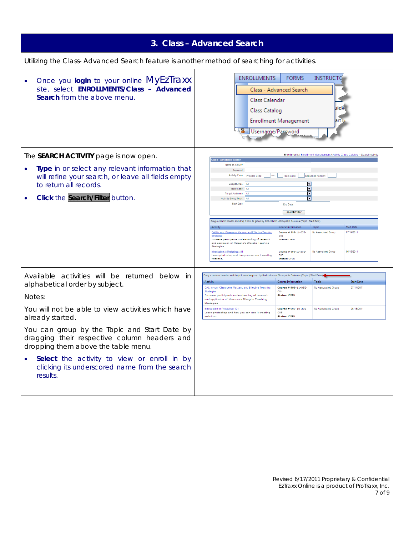<span id="page-6-0"></span>

|                                                                                                                                                                                                                                                                                                                                                                                                                         | 3. Class - Advanced Search                                                                                                                                                                                                                                                                                                                                                                                                                                                                                                                                                                                                                                                                                                                                                                                                                                                                                                                                                                                                                                                                                               |
|-------------------------------------------------------------------------------------------------------------------------------------------------------------------------------------------------------------------------------------------------------------------------------------------------------------------------------------------------------------------------------------------------------------------------|--------------------------------------------------------------------------------------------------------------------------------------------------------------------------------------------------------------------------------------------------------------------------------------------------------------------------------------------------------------------------------------------------------------------------------------------------------------------------------------------------------------------------------------------------------------------------------------------------------------------------------------------------------------------------------------------------------------------------------------------------------------------------------------------------------------------------------------------------------------------------------------------------------------------------------------------------------------------------------------------------------------------------------------------------------------------------------------------------------------------------|
| Utilizing the Class- Advanced Search feature is another method of searching for activities.                                                                                                                                                                                                                                                                                                                             |                                                                                                                                                                                                                                                                                                                                                                                                                                                                                                                                                                                                                                                                                                                                                                                                                                                                                                                                                                                                                                                                                                                          |
| Once you login to your online MyEzTraxx<br>۰<br>site, select ENROLLMENTS/Class - Advanced<br>Search from the above menu.                                                                                                                                                                                                                                                                                                | <b>ENROLLMENTS</b><br><b>FORMS</b><br><b>INSTRUCTG</b><br>Class - Advanced Search<br>Class Calendar<br>liick<br><b>Class Catalog</b><br><b>Enrollment Management</b><br>lart 1<br>k <mark>o =</mark> Username/Password                                                                                                                                                                                                                                                                                                                                                                                                                                                                                                                                                                                                                                                                                                                                                                                                                                                                                                   |
| The SEARCH ACTIVITY page is now open.<br>Type in or select any relevant information that<br>will refine your search, or leave all fields empty<br>to return all records.<br>Click the Search/Filter button.                                                                                                                                                                                                             | Enrollments / Enrollment Management / Activity Class Catalog > Search Activity<br>lass - Advanced Search<br>Name of Activity:<br>Keyword:<br>Activity Code: Provider Code: \\r\\\ \\ \ \ Topic Code:<br>Sequence Number:<br>⊡<br>Subject Area:<br>l Al<br>$\boxed{\blacksquare}$<br>Topic Code:<br>ΔI<br>$\Box$<br>All<br>Target Audience:<br>$\overline{\phantom{1}}$<br>Activity Group Topic: All<br><b>Start Date</b><br>End Date:<br>Search/Filter<br>Drag a column header and drop it here to group by that column - Groupable Columns (Topic) Start Date)<br>Course Information<br><b>Start Date</b><br>Activity<br><b>Topic</b><br>Course # 999-11-052-<br>No Associated Group<br>07/14/2011<br>CALI in your Classroom: Marzano and Effective Teaching<br>Strategies<br>001<br><b>Status: OPEN</b><br>Increase participants understanding of research<br>and applicaion of Marzano's Effecgtie Teaching<br>Strategies<br>06/18/2011<br>Introduction to Photoshop 101<br>Course # 999-10-301-<br>No Associated Group<br>Learn photoshop and how you can use it creating<br>005<br>websites.<br><b>Status: OPEN</b> |
| Available activities will be returned below in<br>alphabetical order by subject.<br>Notes:<br>You will not be able to view activities which have<br>already started.<br>You can group by the Topic and Start Date by<br>dragging their respective column headers and<br>dropping them above the table menu.<br>Select the activity to view or enroll in by<br>clicking its underscored name from the search<br>results. | Drag a column header and drop it here to group by that column - Groupable Columns (Topic   Start Date)<br>Course Information<br><b>Start Date</b><br>Activity<br>Topic<br>Course # 999-11-052-<br>No Associated Group<br>07/14/2011<br>CALI in your Classroom: Marzano and Effective Teaching<br>001<br><b>Strategies</b><br><b>Status: OPEN</b><br>Increase participants understanding of research<br>and applicaion of Marzano's Effecgtie Teaching<br>Strategies<br>06/18/2011<br>Introduction to Photoshop 101<br>Course # 999-10-301-<br>No Associated Group<br>Learn photoshop and how you can use it creating<br>005<br>websites.<br><b>Status: OPEN</b>                                                                                                                                                                                                                                                                                                                                                                                                                                                          |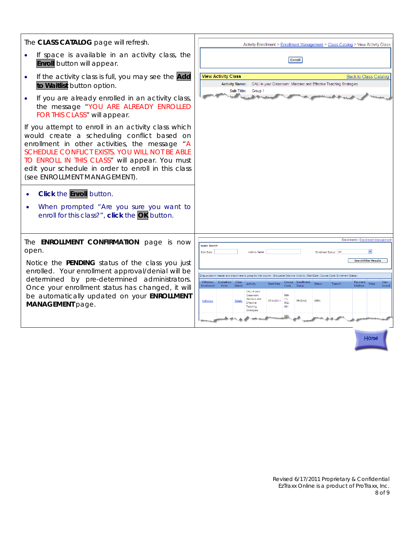| The CLASS CATALOG page will refresh.                                                                                                                                                                                                                                                                                                            | Activity Enrollment > Enrollment Management > Class Catalog > View Activity Class                                                                                                                                                                                                   |  |  |  |  |  |  |  |  |
|-------------------------------------------------------------------------------------------------------------------------------------------------------------------------------------------------------------------------------------------------------------------------------------------------------------------------------------------------|-------------------------------------------------------------------------------------------------------------------------------------------------------------------------------------------------------------------------------------------------------------------------------------|--|--|--|--|--|--|--|--|
| If space is available in an activity class, the<br><b>Enroll</b> button will appear.                                                                                                                                                                                                                                                            | Enroll                                                                                                                                                                                                                                                                              |  |  |  |  |  |  |  |  |
| If the activity class is full, you may see the Add<br>to Waitlist button option.                                                                                                                                                                                                                                                                | <b>View Activity Class</b><br><b>Back to Class Catalog</b><br>Activity Name: CALI in your Classroom: Marzano and Effective Teaching Strategies<br><b>Sub Title:</b><br>Group 1                                                                                                      |  |  |  |  |  |  |  |  |
| If you are already enrolled in an activity class,<br>the message "YOU ARE ALREADY ENROLLED<br>FOR THIS CLASS" will appear.                                                                                                                                                                                                                      |                                                                                                                                                                                                                                                                                     |  |  |  |  |  |  |  |  |
| If you attempt to enroll in an activity class which<br>would create a scheduling conflict based on<br>enrollment in other activities, the message "A<br>SCHEDULE CONFLICT EXISTS. YOU WILL NOT BE ABLE<br>TO ENROLL IN THIS CLASS" will appear. You must<br>edit your schedule in order to enroll in this class<br>(see ENROLLMENT MANAGEMENT). |                                                                                                                                                                                                                                                                                     |  |  |  |  |  |  |  |  |
| <b>Click the Enroll button.</b><br>When prompted "Are you sure you want to<br>enroll for this class?", click the OK button.                                                                                                                                                                                                                     |                                                                                                                                                                                                                                                                                     |  |  |  |  |  |  |  |  |
| The <b>ENROLLMENT CONFIRMATION</b> page is now<br>open.                                                                                                                                                                                                                                                                                         | Enrollments / Enrollment Managemer<br><b>Quick Search</b><br>Enrollment Status: All<br><b>Start Date:</b><br><b>Activity Name</b>                                                                                                                                                   |  |  |  |  |  |  |  |  |
| Notice the <b>PENDING</b> status of the class you just<br>enrolled. Your enrollment approval/denial will be                                                                                                                                                                                                                                     | <b>Search/Filter Results</b>                                                                                                                                                                                                                                                        |  |  |  |  |  |  |  |  |
| determined by pre-determined administrators.                                                                                                                                                                                                                                                                                                    | Drag a column header and drop it here to group by that column - Groupable Columns (Activity   Start Date   Course Code   Enrollment Status)<br>Withdraw Evaluation<br>View<br>- Class<br>Course Enrollment<br>Payment<br>Price<br><b>Start Date</b><br>Status<br>Activity<br>Trans# |  |  |  |  |  |  |  |  |
| Once your enrollment status has changed, it will<br>be automatically updated on your <b>ENROLLMENT</b><br>MANAGEMENT page.                                                                                                                                                                                                                      | Method<br><b>Enrollment</b><br>Form<br>Details<br>Code<br>Award<br>CALI in your<br>Classroom:<br>999.<br>Marzano and<br>$11 -$<br><b>PENDING</b><br>OPEN<br>07/14/2011<br>Withdraw<br>052-<br><b>Fffective</b><br>001<br>Teaching<br>Strategies                                     |  |  |  |  |  |  |  |  |
|                                                                                                                                                                                                                                                                                                                                                 |                                                                                                                                                                                                                                                                                     |  |  |  |  |  |  |  |  |

Home